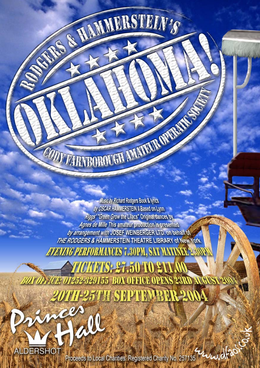Music by Richard Rodgers Book & Writes by OSCAR HAMMERSTEIN II Based on Lynn Riggs' "Green Grow the Lilacs" Original dances by Agnes de Mille This amateur production is presented. by arrangement with JOSEF WEINBERGER LTD, on behalf of THE RODGERS & HAMMERSTEIN THEATRE LIBRARY of New York. *AVAYING PERFORMANCES 7.30PM, SKT MATINKE 2.* 

CONTRACTOROUGH AMARINA OPERATION

AND A HAMMESTEIN'S

*TOKWIS: 27,50 TO 211* 01252-329155 BOX OFFICE OPENS 23RD A **57TI SEPTEMBER 2004** 

AIR **ALDERSHOT** 

Proceeds to Local Charities. Registered Charity No. 257135